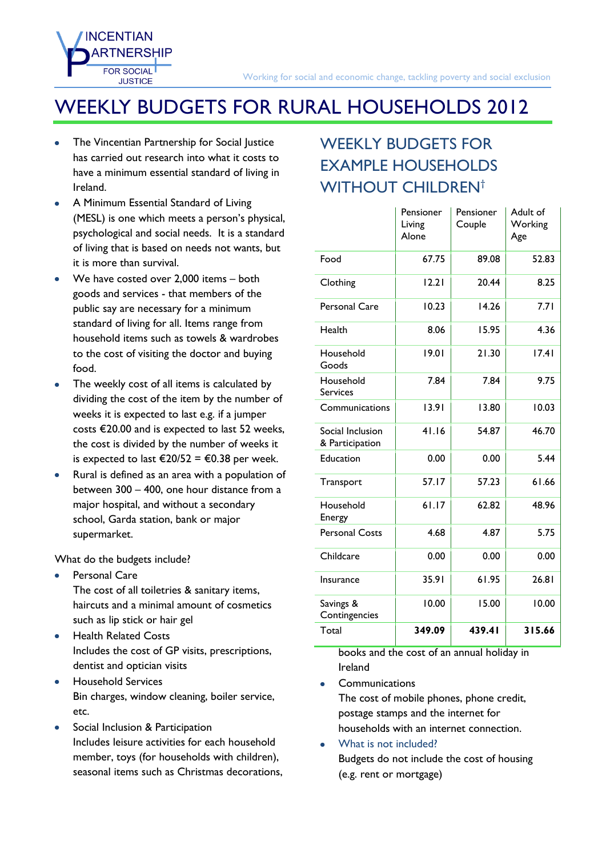## WEEKLY BUDGETS FOR RURAL HOUSEHOLDS 2012

The Vincentian Partnership for Social Justice has carried out research into what it costs to have a minimum essential standard of living in Ireland.

**INCENTIAN** 

**FOR SOCIAL JUSTICE** 

- A Minimum Essential Standard of Living (MESL) is one which meets a person's physical, psychological and social needs. It is a standard of living that is based on needs not wants, but it is more than survival.
- We have costed over 2,000 items both goods and services - that members of the public say are necessary for a minimum standard of living for all. Items range from household items such as towels & wardrobes to the cost of visiting the doctor and buying food.
- The weekly cost of all items is calculated by dividing the cost of the item by the number of weeks it is expected to last e.g. if a jumper costs €20.00 and is expected to last 52 weeks, the cost is divided by the number of weeks it is expected to last €20/52 = €0.38 per week.
- Rural is defined as an area with a population of between 300 – 400, one hour distance from a major hospital, and without a secondary school, Garda station, bank or major supermarket.

What do the budgets include?

- Personal Care The cost of all toiletries & sanitary items, haircuts and a minimal amount of cosmetics such as lip stick or hair gel
- Health Related Costs  $\bullet$ Includes the cost of GP visits, prescriptions, dentist and optician visits
- Household Services Bin charges, window cleaning, boiler service, etc.
- Social Inclusion & Participation Includes leisure activities for each household member, toys (for households with children), seasonal items such as Christmas decorations,

## WEEKLY BUDGETS FOR EXAMPLE HOUSEHOLDS WITHOUT CHILDREN<sup>[†](#page-1-0)</sup>

|                                     | Pensioner<br>Living<br>Alone | Pensioner<br>Couple | Adult of<br>Working<br>Age |  |
|-------------------------------------|------------------------------|---------------------|----------------------------|--|
| Food                                | 67.75                        | 89.08               | 52.83                      |  |
| Clothing                            | 12.21                        | 20.44               | 8.25                       |  |
| <b>Personal Care</b>                | 10.23                        | 14.26               | 7.71                       |  |
| Health                              | 8.06                         | 15.95               | 4.36                       |  |
| Household<br>Goods                  | 19.01                        | 21.30               | 17.41                      |  |
| Household<br><b>Services</b>        | 7.84                         | 7.84                | 9.75                       |  |
| Communications                      | 13.91                        | 13.80               | 10.03                      |  |
| Social Inclusion<br>& Participation | 41.16                        | 54.87               | 46.70                      |  |
| Education                           | 0.00                         | 0.00                | 5.44                       |  |
| Transport                           | 57.17                        | 57.23               | 61.66                      |  |
| Household<br>Energy                 | 61.17                        | 62.82               | 48.96                      |  |
| <b>Personal Costs</b>               | 4.68                         | 4.87                | 5.75                       |  |
| Childcare                           | 0.00                         | 0.00                | 0.00                       |  |
| Insurance                           | 35.91                        | 61.95               | 26.81                      |  |
| Savings &<br>Contingencies          | 10.00                        | 15.00<br>10.00      |                            |  |
| Total                               | 349.09                       | 439.41              | 315.66                     |  |

books and the cost of an annual holiday in Ireland

**Communications** 

The cost of mobile phones, phone credit, postage stamps and the internet for households with an internet connection.

What is not included? Budgets do not include the cost of housing (e.g. rent or mortgage)